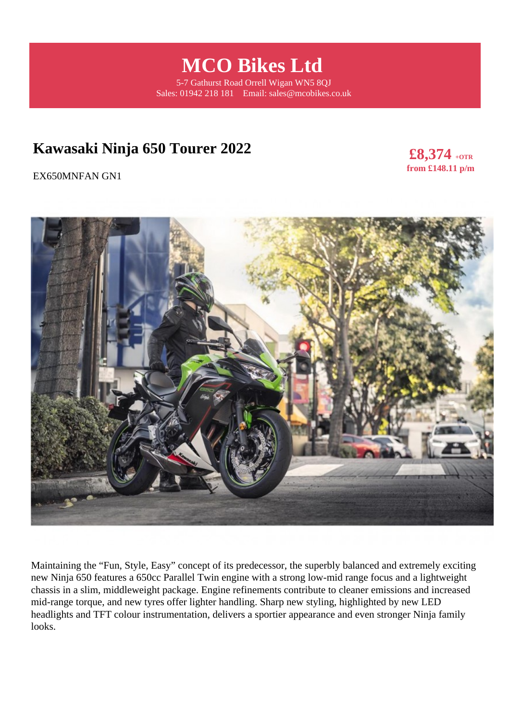**MCO Bikes Ltd** 

5-7 Gathurst Road Orrell Wigan WN5 8QJ Sales: 01942 218 181 Email: sales@mcobikes.co.uk

# **Kawasaki Ninja 650 Tourer 2022**

**£8,374 +OTR from £148.11 p/m** 

EX650MNFAN GN1



Maintaining the "Fun, Style, Easy" concept of its predecessor, the superbly balanced and extremely exciting new Ninja 650 features a 650cc Parallel Twin engine with a strong low-mid range focus and a lightweight chassis in a slim, middleweight package. Engine refinements contribute to cleaner emissions and increased mid-range torque, and new tyres offer lighter handling. Sharp new styling, highlighted by new LED headlights and TFT colour instrumentation, delivers a sportier appearance and even stronger Ninja family looks.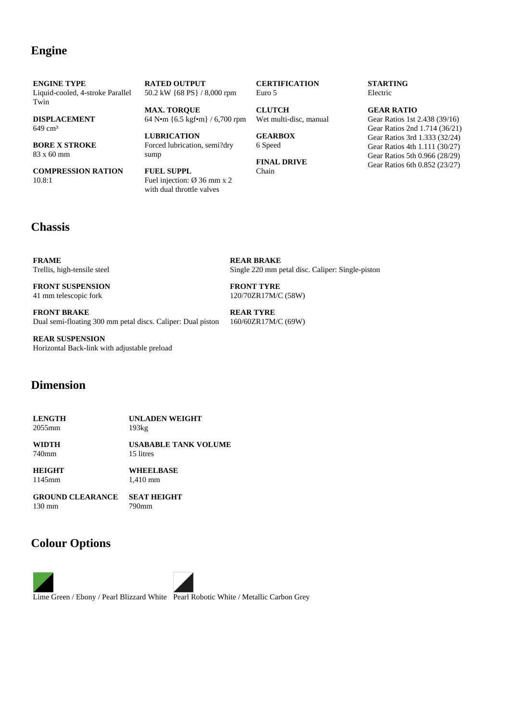#### **Engine**

**ENGINE TYPE** Liquid-cooled, 4-stroke Parallel Twin

**DISPLACEMENT** 649 cm<sup>3</sup>

**BORE X STROKE** 83 x 60 mm

**COMPRESSION RATION** 10.8:1

**RATED OUTPUT** 50.2 kW {68 PS} / 8,000 rpm

**MAX. TORQUE** 64 N•m {6.5 kgf•m} / 6,700 rpm

**LUBRICATION** Forced lubrication, semi?dry sump

**FUEL SUPPL** Fuel injection: Ø 36 mm x 2 with dual throttle valves

#### **CERTIFICATION** Euro 5

**CLUTCH** Wet multi-disc, manual

**GEARBOX** 6 Speed

**FINAL DRIVE** Chain

#### **STARTING** Electric

**GEAR RATIO** Gear Ratios 1st 2.438 (39/16) Gear Ratios 2nd 1.714 (36/21) Gear Ratios 3rd 1.333 (32/24) Gear Ratios 4th 1.111 (30/27) Gear Ratios 5th 0.966 (28/29) Gear Ratios 6th 0.852 (23/27)

### **Chassis**

**FRAME** Trellis, high-tensile steel

**FRONT SUSPENSION** 41 mm telescopic fork

**FRONT BRAKE** Dual semi-floating 300 mm petal discs. Caliper: Dual piston

**REAR SUSPENSION** Horizontal Back-link with adjustable preload

#### **Dimension**

**LENGTH** 2055mm **UNLADEN WEIGHT** 193kg

**WIDTH** 740mm

**USABABLE TANK VOLUME** 15 litres

**HEIGHT** 1145mm

**WHEELBASE** 1,410 mm

**GROUND CLEARANCE** 130 mm

**SEAT HEIGHT** 790mm

### **Colour Options**



**REAR BRAKE** Single 220 mm petal disc. Caliper: Single-piston

**FRONT TYRE** 120/70ZR17M/C (58W)

**REAR TYRE** 160/60ZR17M/C (69W)